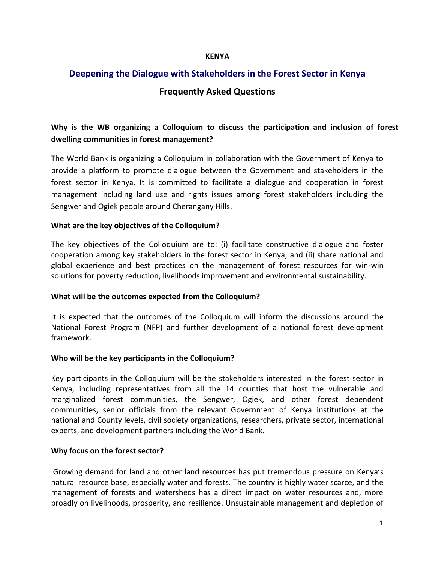#### **KENYA**

# **Deepening the Dialogue with Stakeholders in the Forest Sector in Kenya Frequently Asked Questions**

# **Why is the WB organizing a Colloquium to discuss the participation and inclusion of forest dwelling communities in forest management?**

The World Bank is organizing a Colloquium in collaboration with the Government of Kenya to provide a platform to promote dialogue between the Government and stakeholders in the forest sector in Kenya. It is committed to facilitate a dialogue and cooperation in forest management including land use and rights issues among forest stakeholders including the Sengwer and Ogiek people around Cherangany Hills.

#### **What are the key objectives of the Colloquium?**

The key objectives of the Colloquium are to: (i) facilitate constructive dialogue and foster cooperation among key stakeholders in the forest sector in Kenya; and (ii) share national and global experience and best practices on the management of forest resources for win-win solutions for poverty reduction, livelihoods improvement and environmental sustainability.

#### **What will be the outcomes expected from the Colloquium?**

It is expected that the outcomes of the Colloquium will inform the discussions around the National Forest Program (NFP) and further development of a national forest development framework.

#### **Who will be the key participants in the Colloquium?**

Key participants in the Colloquium will be the stakeholders interested in the forest sector in Kenya, including representatives from all the 14 counties that host the vulnerable and marginalized forest communities, the Sengwer, Ogiek, and other forest dependent communities, senior officials from the relevant Government of Kenya institutions at the national and County levels, civil society organizations, researchers, private sector, international experts, and development partners including the World Bank.

#### **Why focus on the forest sector?**

Growing demand for land and other land resources has put tremendous pressure on Kenya's natural resource base, especially water and forests. The country is highly water scarce, and the management of forests and watersheds has a direct impact on water resources and, more broadly on livelihoods, prosperity, and resilience. Unsustainable management and depletion of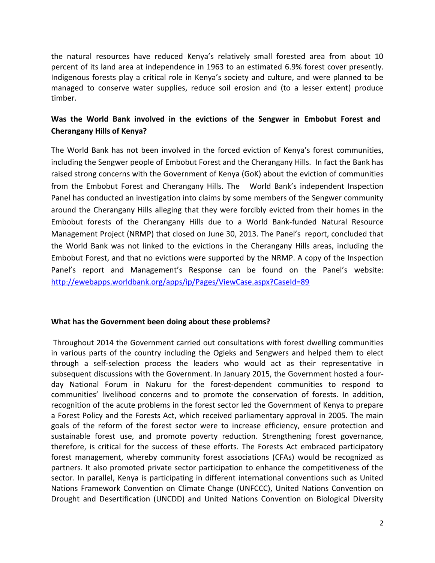the natural resources have reduced Kenya's relatively small forested area from about 10 percent of its land area at independence in 1963 to an estimated 6.9% forest cover presently. Indigenous forests play a critical role in Kenya's society and culture, and were planned to be managed to conserve water supplies, reduce soil erosion and (to a lesser extent) produce timber.

## **Was the World Bank involved in the evictions of the Sengwer in Embobut Forest and Cherangany Hills of Kenya?**

The World Bank has not been involved in the forced eviction of Kenya's forest communities, including the Sengwer people of Embobut Forest and the Cherangany Hills. In fact the Bank has raised strong concerns with the Government of Kenya (GoK) about the eviction of communities from the Embobut Forest and Cherangany Hills. The World Bank's independent Inspection Panel has conducted an investigation into claims by some members of the Sengwer community around the Cherangany Hills alleging that they were forcibly evicted from their homes in the Embobut forests of the Cherangany Hills due to a World Bank-funded Natural Resource Management Project (NRMP) that closed on June 30, 2013. The Panel's report, concluded that the World Bank was not linked to the evictions in the Cherangany Hills areas, including the Embobut Forest, and that no evictions were supported by the NRMP. A copy of the Inspection Panel's report and Management's Response can be found on the Panel's website: <http://ewebapps.worldbank.org/apps/ip/Pages/ViewCase.aspx?CaseId=89>

#### **What has the Government been doing about these problems?**

Throughout 2014 the Government carried out consultations with forest dwelling communities in various parts of the country including the Ogieks and Sengwers and helped them to elect through a self-selection process the leaders who would act as their representative in subsequent discussions with the Government. In January 2015, the Government hosted a fourday National Forum in Nakuru for the forest-dependent communities to respond to communities' livelihood concerns and to promote the conservation of forests. In addition, recognition of the acute problems in the forest sector led the Government of Kenya to prepare a Forest Policy and the Forests Act, which received parliamentary approval in 2005. The main goals of the reform of the forest sector were to increase efficiency, ensure protection and sustainable forest use, and promote poverty reduction. Strengthening forest governance, therefore, is critical for the success of these efforts. The Forests Act embraced participatory forest management, whereby community forest associations (CFAs) would be recognized as partners. It also promoted private sector participation to enhance the competitiveness of the sector. In parallel, Kenya is participating in different international conventions such as United Nations Framework Convention on Climate Change (UNFCCC), United Nations Convention on Drought and Desertification (UNCDD) and United Nations Convention on Biological Diversity